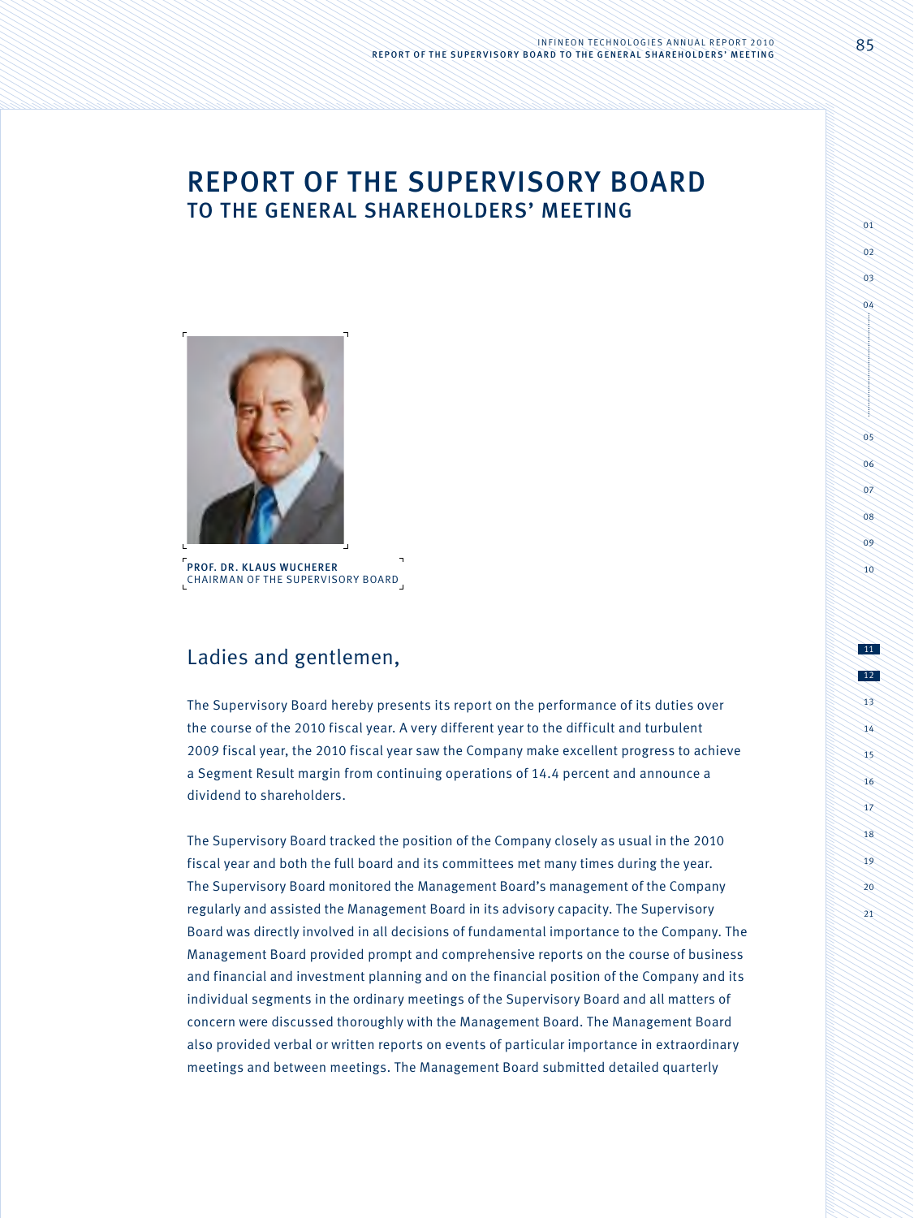# Report of the Supervisory Board to the General shareholders' Meeting



Prof. Dr. Klaus Wucherer Chairman of the Supervisory Board

# Ladies and gentlemen,

The Supervisory Board hereby presents its report on the performance of its duties over the course of the 2010 fiscal year. A very different year to the difficult and turbulent 2009 fiscal year, the 2010 fiscal year saw the Company make excellent progress to achieve a Segment Result margin from continuing operations of 14.4 percent and announce a dividend to shareholders.

The Supervisory Board tracked the position of the Company closely as usual in the 2010 fiscal year and both the full board and its committees met many times during the year. The Supervisory Board monitored the Management Board's management of the Company regularly and assisted the Management Board in its advisory capacity. The Supervisory Board was directly involved in all decisions of fundamental importance to the Company. The Management Board provided prompt and comprehensive reports on the course of business and financial and investment planning and on the financial position of the Company and its individual segments in the ordinary meetings of the Supervisory Board and all matters of concern were discussed thoroughly with the Management Board. The Management Board also provided verbal or written reports on events of particular importance in extraordinary meetings and between meetings. The Management Board submitted detailed quarterly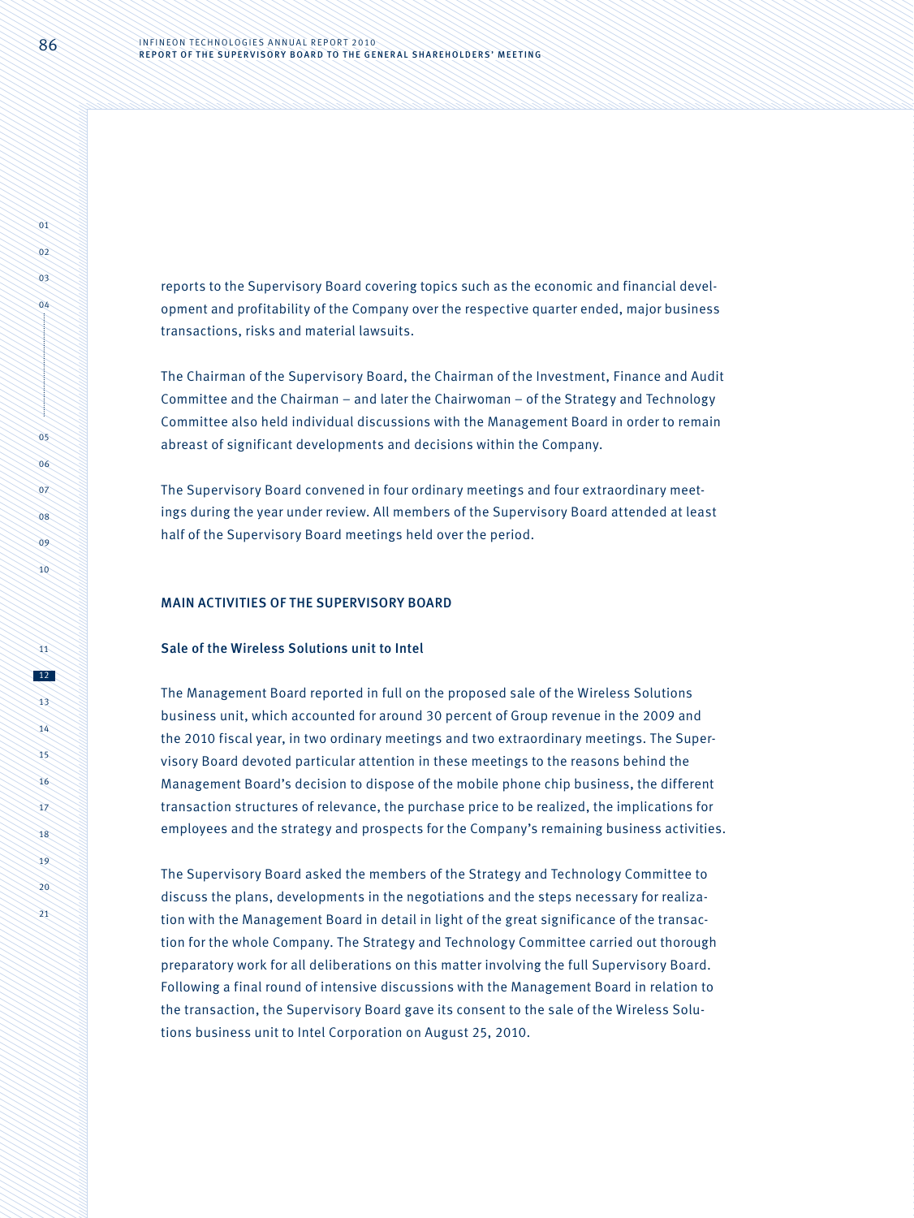reports to the Supervisory Board covering topics such as the economic and financial development and profitability of the Company over the respective quarter ended, major business transactions, risks and material lawsuits.

The Chairman of the Supervisory Board, the Chairman of the Investment, Finance and Audit Committee and the Chairman – and later the Chairwoman – of the Strategy and Technology Committee also held individual discussions with the Management Board in order to remain abreast of significant developments and decisions within the Company.

The Supervisory Board convened in four ordinary meetings and four extraordinary meetings during the year under review. All members of the Supervisory Board attended at least half of the Supervisory Board meetings held over the period.

#### MAIN ACTIVITIES OF THE SUPERVISORY BOARD

#### Sale of the Wireless Solutions unit to Intel

The Management Board reported in full on the proposed sale of the Wireless Solutions business unit, which accounted for around 30 percent of Group revenue in the 2009 and the 2010 fiscal year, in two ordinary meetings and two extraordinary meetings. The Supervisory Board devoted particular attention in these meetings to the reasons behind the Management Board's decision to dispose of the mobile phone chip business, the different transaction structures of relevance, the purchase price to be realized, the implications for employees and the strategy and prospects for the Company's remaining business activities.

The Supervisory Board asked the members of the Strategy and Technology Committee to discuss the plans, developments in the negotiations and the steps necessary for realization with the Management Board in detail in light of the great significance of the transaction for the whole Company. The Strategy and Technology Committee carried out thorough preparatory work for all deliberations on this matter involving the full Supervisory Board. Following a final round of intensive discussions with the Management Board in relation to the transaction, the Supervisory Board gave its consent to the sale of the Wireless Solutions business unit to Intel Corporation on August 25, 2010.

 $n_1$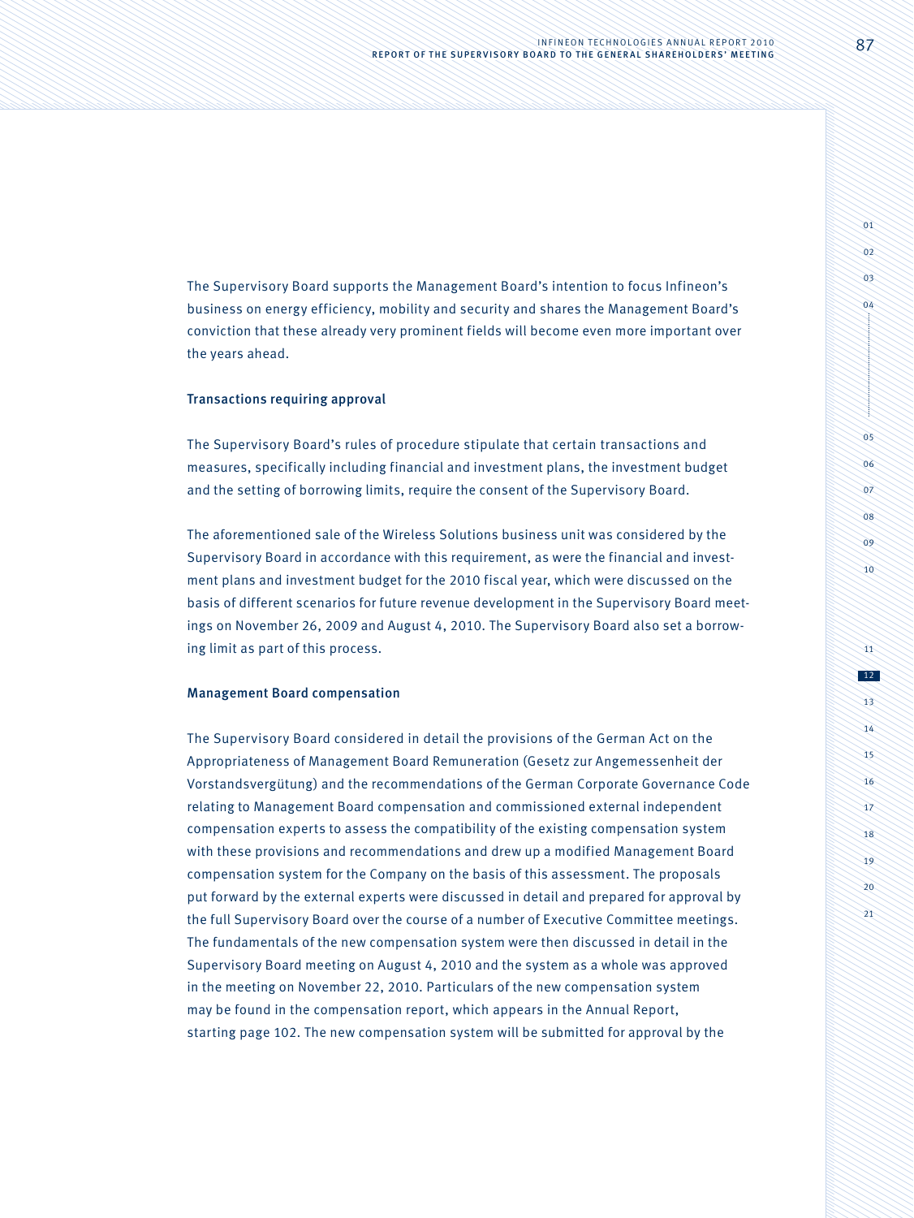The Supervisory Board supports the Management Board's intention to focus Infineon's business on energy efficiency, mobility and security and shares the Management Board's conviction that these already very prominent fields will become even more important over the years ahead.

# Transactions requiring approval

The Supervisory Board's rules of procedure stipulate that certain transactions and measures, specifically including financial and investment plans, the investment budget and the setting of borrowing limits, require the consent of the Supervisory Board.

The aforementioned sale of the Wireless Solutions business unit was considered by the Supervisory Board in accordance with this requirement, as were the financial and investment plans and investment budget for the 2010 fiscal year, which were discussed on the basis of different scenarios for future revenue development in the Supervisory Board meetings on November 26, 2009 and August 4, 2010. The Supervisory Board also set a borrowing limit as part of this process.

#### Management Board compensation

The Supervisory Board considered in detail the provisions of the German Act on the Appropriateness of Management Board Remuneration (Gesetz zur Angemessenheit der Vorstandsvergütung) and the recommendations of the German Corporate Governance Code relating to Management Board compensation and commissioned external independent compensation experts to assess the compatibility of the existing compensation system with these provisions and recommendations and drew up a modified Management Board compensation system for the Company on the basis of this assessment. The proposals put forward by the external experts were discussed in detail and prepared for approval by the full Supervisory Board over the course of a number of Executive Committee meetings. The fundamentals of the new compensation system were then discussed in detail in the Supervisory Board meeting on August 4, 2010 and the system as a whole was approved in the meeting on November 22, 2010. Particulars of the new compensation system may be found in the compensation report, which appears in the Annual Report, starting page 102. The new compensation system will be submitted for approval by the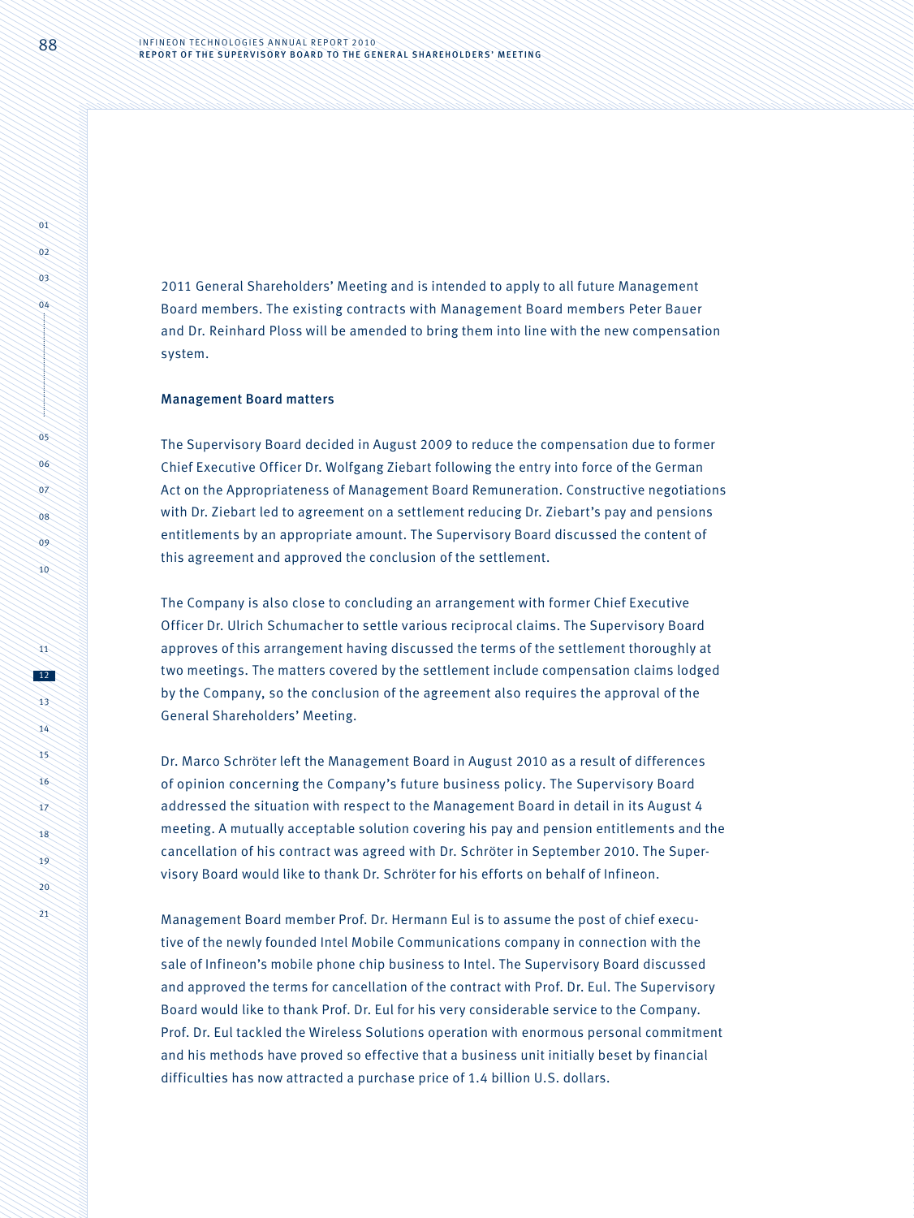2011 General Shareholders' Meeting and is intended to apply to all future Management Board members. The existing contracts with Management Board members Peter Bauer and Dr. Reinhard Ploss will be amended to bring them into line with the new compensation system.

#### Management Board matters

The Supervisory Board decided in August 2009 to reduce the compensation due to former Chief Executive Officer Dr. Wolfgang Ziebart following the entry into force of the German Act on the Appropriateness of Management Board Remuneration. Constructive negotiations with Dr. Ziebart led to agreement on a settlement reducing Dr. Ziebart's pay and pensions entitlements by an appropriate amount. The Supervisory Board discussed the content of this agreement and approved the conclusion of the settlement.

The Company is also close to concluding an arrangement with former Chief Executive Officer Dr. Ulrich Schumacher to settle various reciprocal claims. The Supervisory Board approves of this arrangement having discussed the terms of the settlement thoroughly at two meetings. The matters covered by the settlement include compensation claims lodged by the Company, so the conclusion of the agreement also requires the approval of the General Shareholders' Meeting.

Dr. Marco Schröter left the Management Board in August 2010 as a result of differences of opinion concerning the Company's future business policy. The Supervisory Board addressed the situation with respect to the Management Board in detail in its August 4 meeting. A mutually acceptable solution covering his pay and pension entitlements and the cancellation of his contract was agreed with Dr. Schröter in September 2010. The Supervisory Board would like to thank Dr. Schröter for his efforts on behalf of Infineon.

Management Board member Prof. Dr. Hermann Eul is to assume the post of chief executive of the newly founded Intel Mobile Communications company in connection with the sale of Infineon's mobile phone chip business to Intel. The Supervisory Board discussed and approved the terms for cancellation of the contract with Prof. Dr. Eul. The Supervisory Board would like to thank Prof. Dr. Eul for his very considerable service to the Company. Prof. Dr. Eul tackled the Wireless Solutions operation with enormous personal commitment and his methods have proved so effective that a business unit initially beset by financial difficulties has now attracted a purchase price of 1.4 billion U.S. dollars.

 $n_1$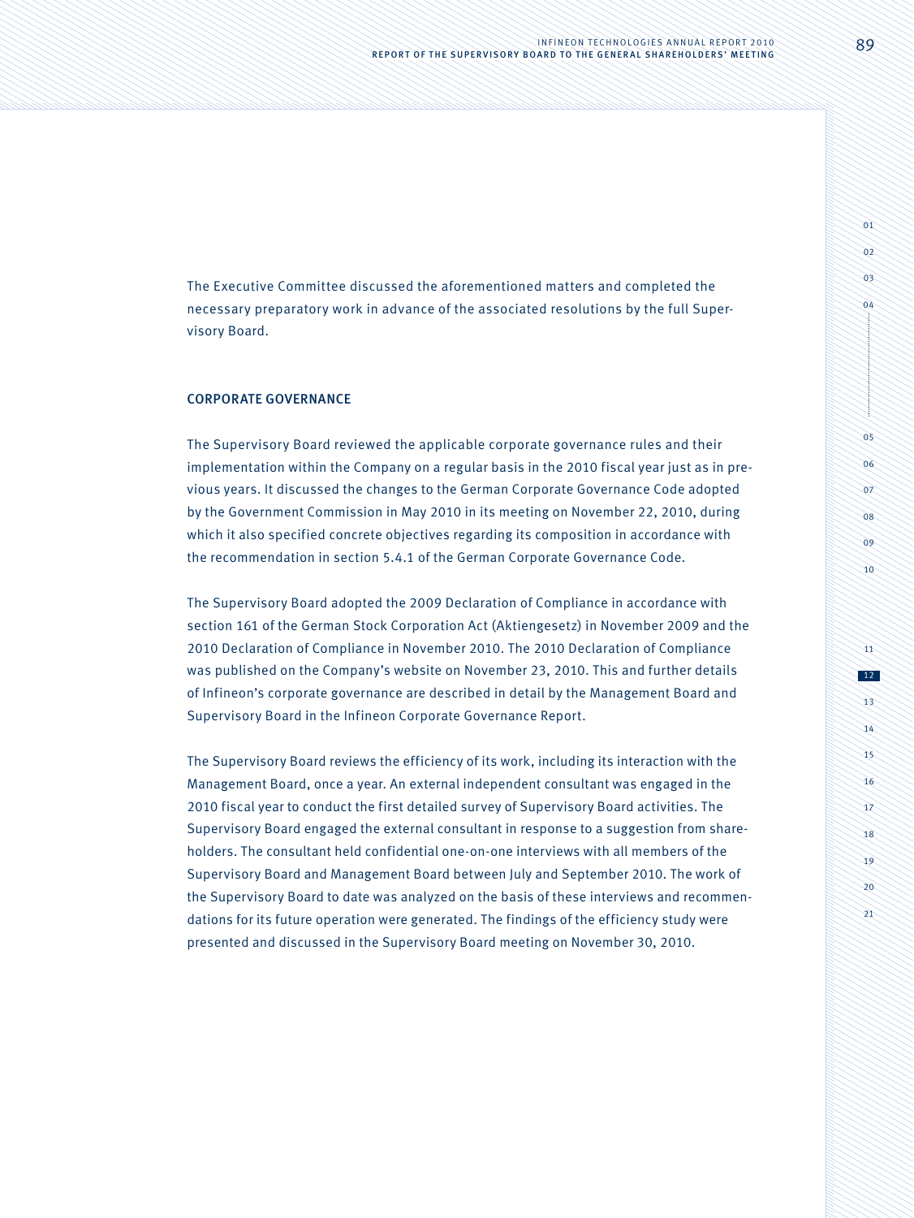The Executive Committee discussed the aforementioned matters and completed the necessary preparatory work in advance of the associated resolutions by the full Supervisory Board.

# CORPORATE GOVERNANCE

The Supervisory Board reviewed the applicable corporate governance rules and their implementation within the Company on a regular basis in the 2010 fiscal year just as in previous years. It discussed the changes to the German Corporate Governance Code adopted by the Government Commission in May 2010 in its meeting on November 22, 2010, during which it also specified concrete objectives regarding its composition in accordance with the recommendation in section 5.4.1 of the German Corporate Governance Code.

The Supervisory Board adopted the 2009 Declaration of Compliance in accordance with section 161 of the German Stock Corporation Act (Aktiengesetz) in November 2009 and the 2010 Declaration of Compliance in November 2010. The 2010 Declaration of Compliance was published on the Company's website on November 23, 2010. This and further details of Infineon's corporate governance are described in detail by the Management Board and Supervisory Board in the Infineon Corporate Governance Report.

The Supervisory Board reviews the efficiency of its work, including its interaction with the Management Board, once a year. An external independent consultant was engaged in the 2010 fiscal year to conduct the first detailed survey of Supervisory Board activities. The Supervisory Board engaged the external consultant in response to a suggestion from shareholders. The consultant held confidential one-on-one interviews with all members of the Supervisory Board and Management Board between July and September 2010. The work of the Supervisory Board to date was analyzed on the basis of these interviews and recommendations for its future operation were generated. The findings of the efficiency study were presented and discussed in the Supervisory Board meeting on November 30, 2010.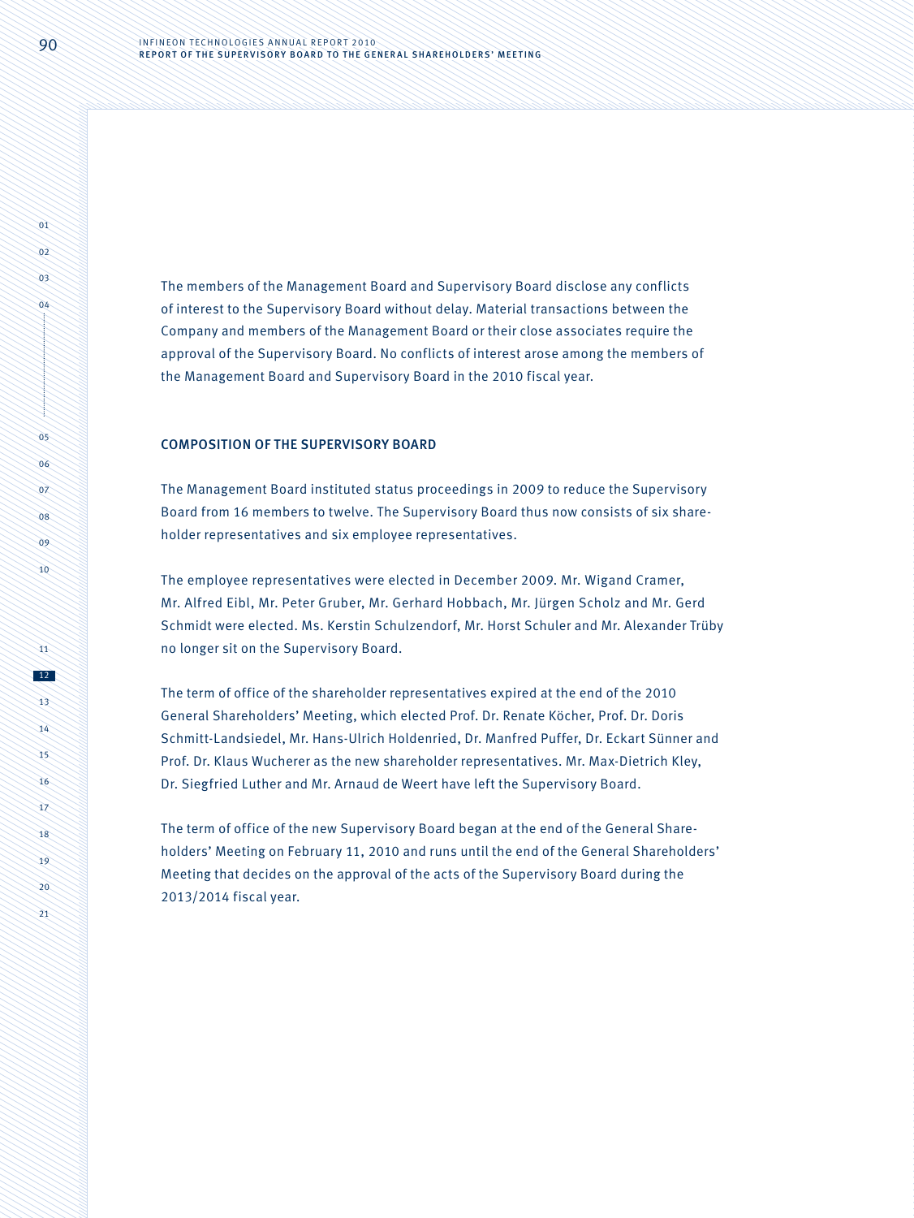The members of the Management Board and Supervisory Board disclose any conflicts of interest to the Supervisory Board without delay. Material transactions between the Company and members of the Management Board or their close associates require the approval of the Supervisory Board. No conflicts of interest arose among the members of the Management Board and Supervisory Board in the 2010 fiscal year.

# COMPOSITION OF THE SUPERVISORY BOARD

The Management Board instituted status proceedings in 2009 to reduce the Supervisory Board from 16 members to twelve. The Supervisory Board thus now consists of six shareholder representatives and six employee representatives.

The employee representatives were elected in December 2009. Mr. Wigand Cramer, Mr. Alfred Eibl, Mr. Peter Gruber, Mr. Gerhard Hobbach, Mr. Jürgen Scholz and Mr. Gerd Schmidt were elected. Ms. Kerstin Schulzendorf, Mr. Horst Schuler and Mr. Alexander Trüby no longer sit on the Supervisory Board.

The term of office of the shareholder representatives expired at the end of the 2010 General Shareholders' Meeting, which elected Prof. Dr. Renate Köcher, Prof. Dr. Doris Schmitt-Landsiedel, Mr. Hans-Ulrich Holdenried, Dr. Manfred Puffer, Dr. Eckart Sünner and Prof. Dr. Klaus Wucherer as the new shareholder representatives. Mr. Max-Dietrich Kley, Dr. Siegfried Luther and Mr. Arnaud de Weert have left the Supervisory Board.

The term of office of the new Supervisory Board began at the end of the General Shareholders' Meeting on February 11, 2010 and runs until the end of the General Shareholders' Meeting that decides on the approval of the acts of the Supervisory Board during the 2013/2014 fiscal year.

 $\overrightarrow{01}$  $0<sup>2</sup>$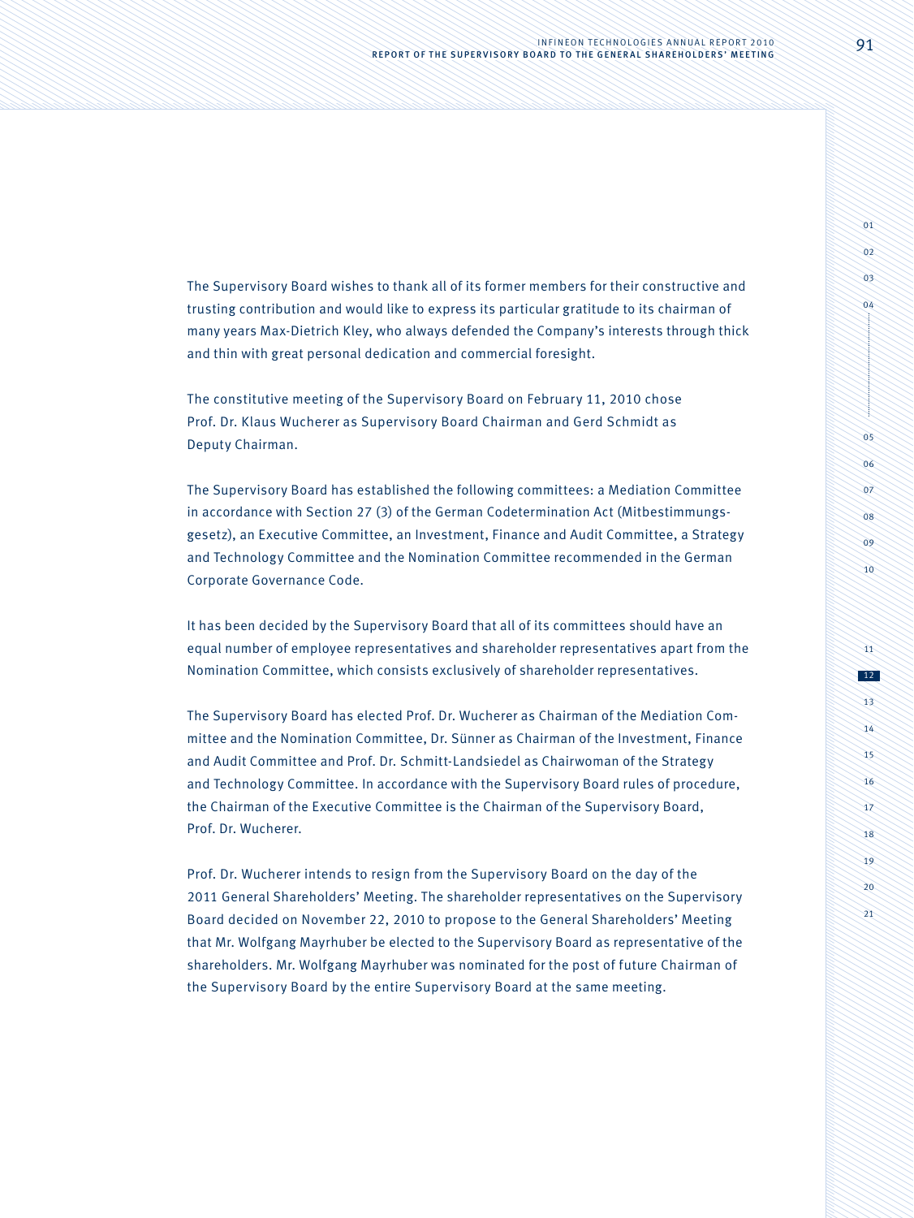The Supervisory Board wishes to thank all of its former members for their constructive and trusting contribution and would like to express its particular gratitude to its chairman of many years Max-Dietrich Kley, who always defended the Company's interests through thick and thin with great personal dedication and commercial foresight.

The constitutive meeting of the Supervisory Board on February 11, 2010 chose Prof. Dr. Klaus Wucherer as Supervisory Board Chairman and Gerd Schmidt as Deputy Chairman.

The Supervisory Board has established the following committees: a Mediation Committee in accordance with Section 27 (3) of the German Codetermination Act (Mitbestimmungsgesetz), an Executive Committee, an Investment, Finance and Audit Committee, a Strategy and Technology Committee and the Nomination Committee recommended in the German Corporate Governance Code.

It has been decided by the Supervisory Board that all of its committees should have an equal number of employee representatives and shareholder representatives apart from the Nomination Committee, which consists exclusively of shareholder representatives.

The Supervisory Board has elected Prof. Dr. Wucherer as Chairman of the Mediation Committee and the Nomination Committee, Dr. Sünner as Chairman of the Investment, Finance and Audit Committee and Prof. Dr. Schmitt-Landsiedel as Chairwoman of the Strategy and Technology Committee. In accordance with the Supervisory Board rules of procedure, the Chairman of the Executive Committee is the Chairman of the Supervisory Board, Prof. Dr. Wucherer.

Prof. Dr. Wucherer intends to resign from the Supervisory Board on the day of the 2011 General Shareholders' Meeting. The shareholder representatives on the Supervisory Board decided on November 22, 2010 to propose to the General Shareholders' Meeting that Mr. Wolfgang Mayrhuber be elected to the Supervisory Board as representative of the shareholders. Mr. Wolfgang Mayrhuber was nominated for the post of future Chairman of the Supervisory Board by the entire Supervisory Board at the same meeting.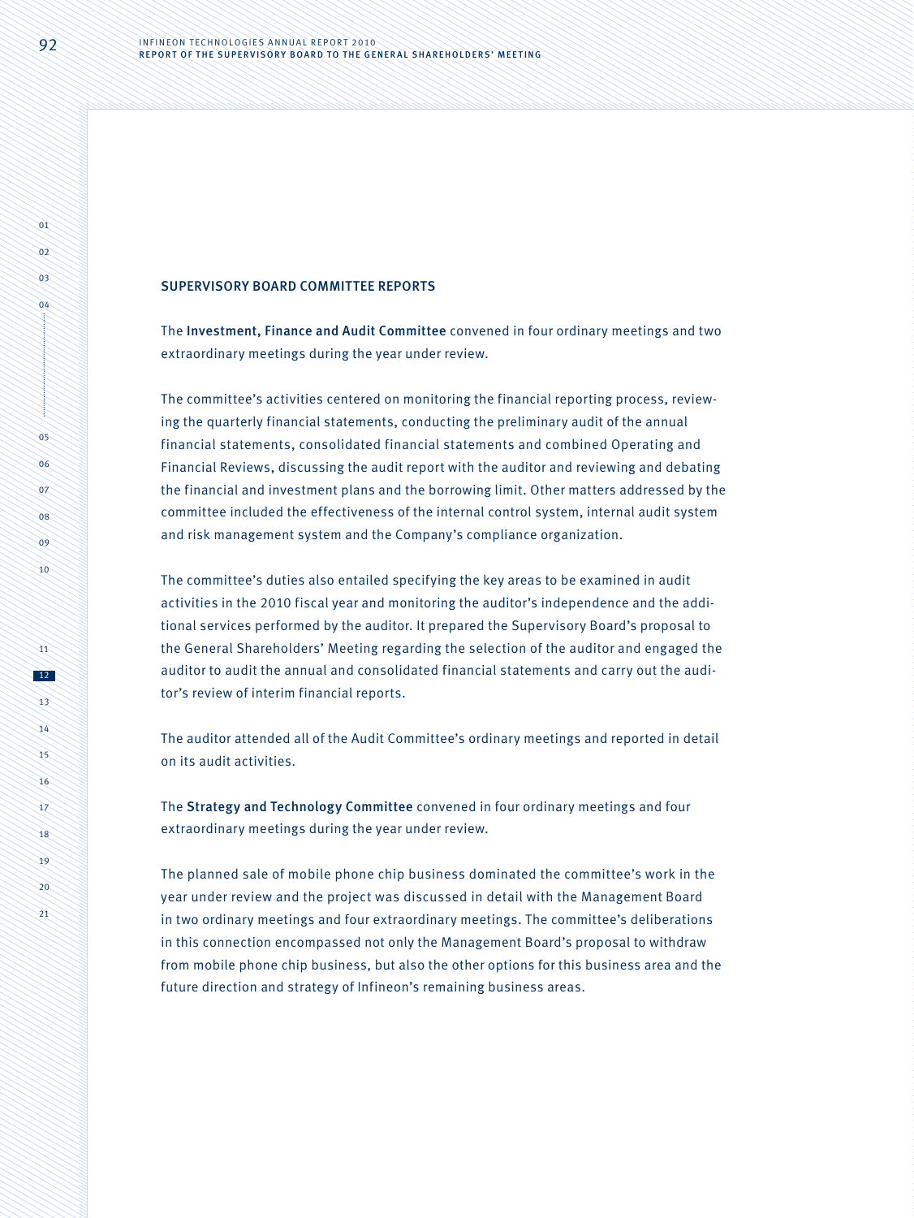### SUPERVISORY BOARD COMMITTEE REPORTS

The Investment, Finance and Audit Committee convened in four ordinary meetings and two extraordinary meetings during the year under review.

The committee's activities centered on monitoring the financial reporting process, reviewing the quarterly financial statements, conducting the preliminary audit of the annual financial statements, consolidated financial statements and combined Operating and Financial Reviews, discussing the audit report with the auditor and reviewing and debating the financial and investment plans and the borrowing limit. Other matters addressed by the committee included the effectiveness of the internal control system, internal audit system and risk management system and the Company's compliance organization.

The committee's duties also entailed specifying the key areas to be examined in audit activities in the 2010 fiscal year and monitoring the auditor's independence and the additional services performed by the auditor. It prepared the Supervisory Board's proposal to the General Shareholders' Meeting regarding the selection of the auditor and engaged the auditor to audit the annual and consolidated financial statements and carry out the auditor's review of interim financial reports.

The auditor attended all of the Audit Committee's ordinary meetings and reported in detail on its audit activities.

The Strategy and Technology Committee convened in four ordinary meetings and four extraordinary meetings during the year under review.

The planned sale of mobile phone chip business dominated the committee's work in the year under review and the project was discussed in detail with the Management Board in two ordinary meetings and four extraordinary meetings. The committee's deliberations in this connection encompassed not only the Management Board's proposal to withdraw from mobile phone chip business, but also the other options for this business area and the future direction and strategy of Infineon's remaining business areas.

 $n_1$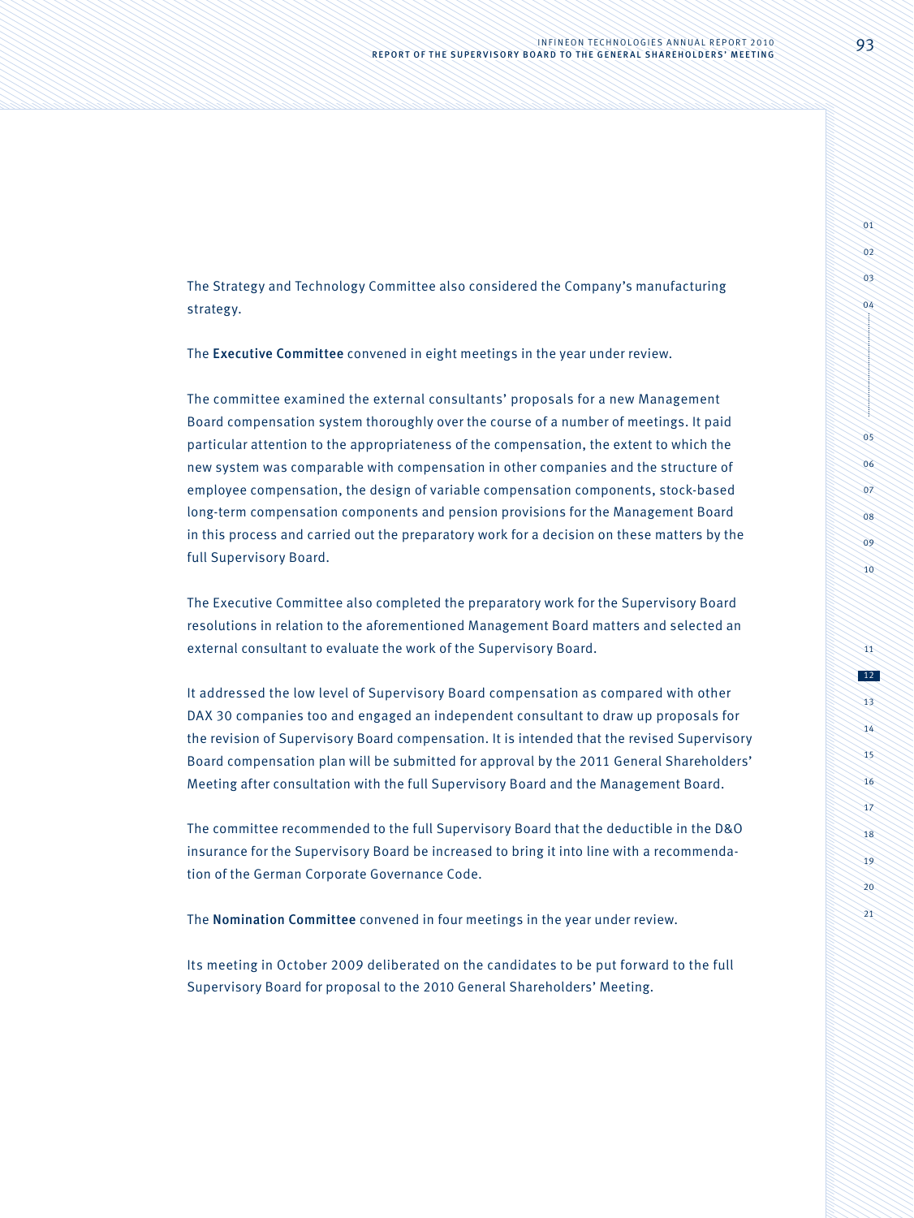The Strategy and Technology Committee also considered the Company's manufacturing strategy.

The Executive Committee convened in eight meetings in the year under review.

The committee examined the external consultants' proposals for a new Management Board compensation system thoroughly over the course of a number of meetings. It paid particular attention to the appropriateness of the compensation, the extent to which the new system was comparable with compensation in other companies and the structure of employee compensation, the design of variable compensation components, stock-based long-term compensation components and pension provisions for the Management Board in this process and carried out the preparatory work for a decision on these matters by the full Supervisory Board.

The Executive Committee also completed the preparatory work for the Supervisory Board resolutions in relation to the aforementioned Management Board matters and selected an external consultant to evaluate the work of the Supervisory Board.

It addressed the low level of Supervisory Board compensation as compared with other DAX 30 companies too and engaged an independent consultant to draw up proposals for the revision of Supervisory Board compensation. It is intended that the revised Supervisory Board compensation plan will be submitted for approval by the 2011 General Shareholders' Meeting after consultation with the full Supervisory Board and the Management Board.

The committee recommended to the full Supervisory Board that the deductible in the D&O insurance for the Supervisory Board be increased to bring it into line with a recommendation of the German Corporate Governance Code.

The Nomination Committee convened in four meetings in the year under review.

Its meeting in October 2009 deliberated on the candidates to be put forward to the full Supervisory Board for proposal to the 2010 General Shareholders' Meeting.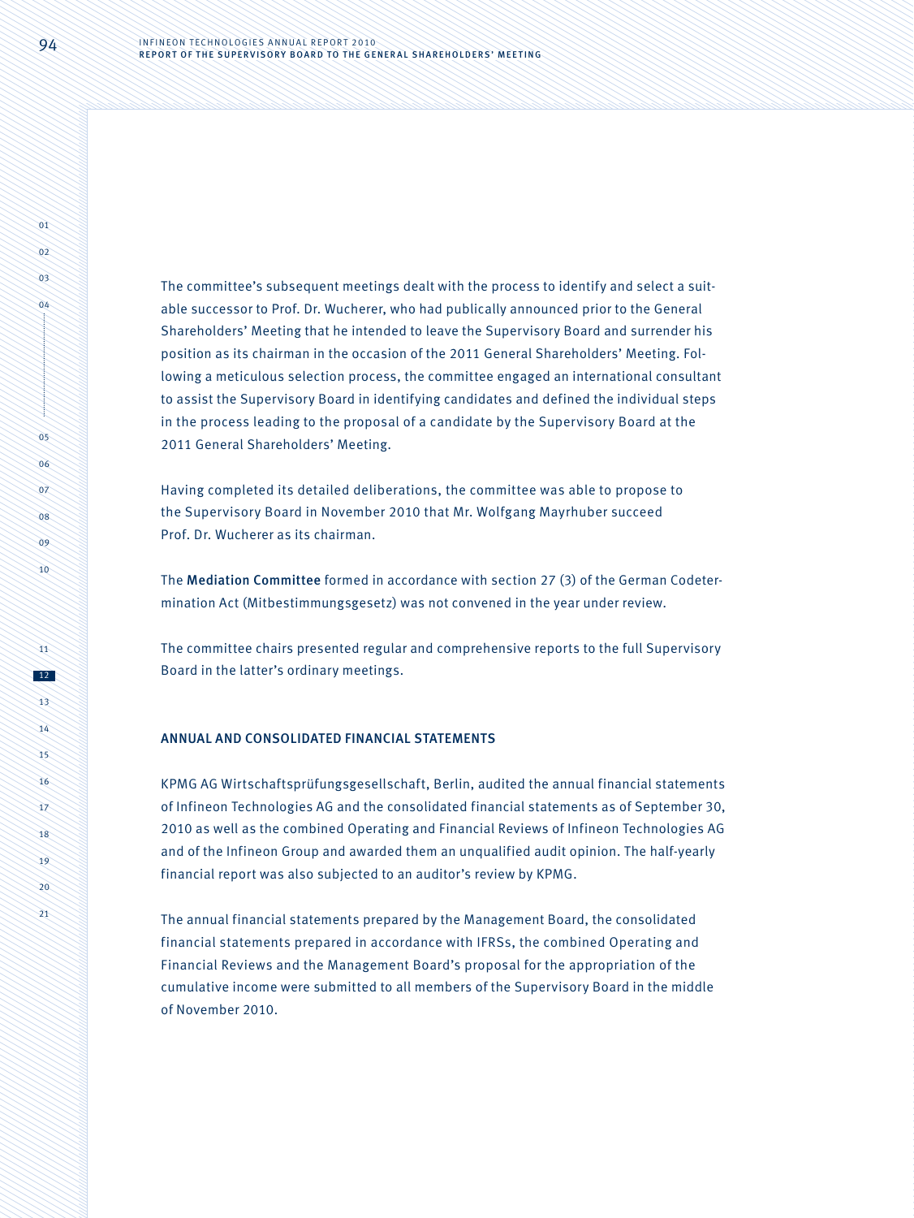The committee's subsequent meetings dealt with the process to identify and select a suitable successor to Prof. Dr. Wucherer, who had publically announced prior to the General Shareholders' Meeting that he intended to leave the Supervisory Board and surrender his position as its chairman in the occasion of the 2011 General Shareholders' Meeting. Following a meticulous selection process, the committee engaged an international consultant to assist the Supervisory Board in identifying candidates and defined the individual steps in the process leading to the proposal of a candidate by the Supervisory Board at the 2011 General Shareholders' Meeting.

Having completed its detailed deliberations, the committee was able to propose to the Supervisory Board in November 2010 that Mr. Wolfgang Mayrhuber succeed Prof. Dr. Wucherer as its chairman.

The Mediation Committee formed in accordance with section 27 (3) of the German Codetermination Act (Mitbestimmungsgesetz) was not convened in the year under review.

The committee chairs presented regular and comprehensive reports to the full Supervisory Board in the latter's ordinary meetings.

#### ANNUAL AND CONSOLIDATED FINANCIAL STATEMENTS

KPMG AG Wirtschaftsprüfungsgesellschaft, Berlin, audited the annual financial statements of Infineon Technologies AG and the consolidated financial statements as of September 30, 2010 as well as the combined Operating and Financial Reviews of Infineon Technologies AG and of the Infineon Group and awarded them an unqualified audit opinion. The half-yearly financial report was also subjected to an auditor's review by KPMG.

The annual financial statements prepared by the Management Board, the consolidated financial statements prepared in accordance with IFRSs, the combined Operating and Financial Reviews and the Management Board's proposal for the appropriation of the cumulative income were submitted to all members of the Supervisory Board in the middle of November 2010.

 $\overrightarrow{01}$